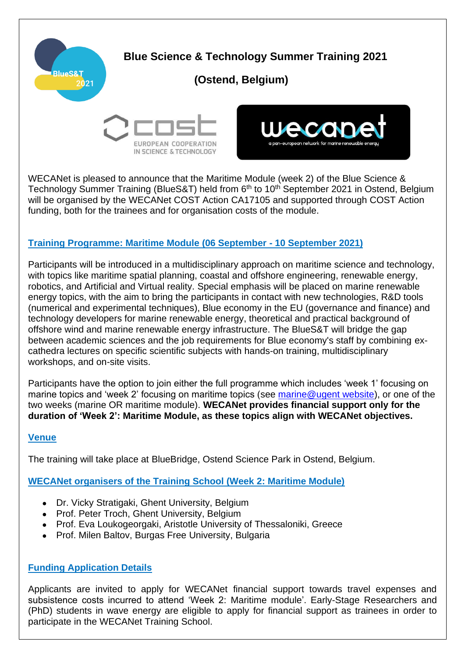

WECANet is pleased to announce that the Maritime Module (week 2) of the Blue Science & Technology Summer Training (BlueS&T) held from 6<sup>th</sup> to 10<sup>th</sup> September 2021 in Ostend, Belgium will be organised by the WECANet COST Action CA17105 and supported through COST Action funding, both for the trainees and for organisation costs of the module.

## **Training Programme: Maritime Module (06 September - 10 September 2021)**

Participants will be introduced in a multidisciplinary approach on maritime science and technology, with topics like maritime spatial planning, coastal and offshore engineering, renewable energy, robotics, and Artificial and Virtual reality. Special emphasis will be placed on marine renewable energy topics, with the aim to bring the participants in contact with new technologies, R&D tools (numerical and experimental techniques), Blue economy in the EU (governance and finance) and technology developers for marine renewable energy, theoretical and practical background of offshore wind and marine renewable energy infrastructure. The BlueS&T will bridge the gap between academic sciences and the job requirements for Blue economy's staff by combining excathedra lectures on specific scientific subjects with hands-on training, multidisciplinary workshops, and on-site visits.

Participants have the option to join either the full programme which includes 'week 1' focusing on marine topics and 'week 2' focusing on maritime topics (see [marine@ugent website\)](https://www.marineatugent.be/blue-science-technology-summer-training), or one of the two weeks (marine OR maritime module). **WECANet provides financial support only for the duration of 'Week 2': Maritime Module, as these topics align with WECANet objectives.**

#### **Venue**

The training will take place at BlueBridge, Ostend Science Park in Ostend, Belgium.

## **WECANet organisers of the Training School (Week 2: Maritime Module)**

- Dr. Vicky Stratigaki, Ghent University, Belgium
- Prof. Peter Troch, Ghent University, Belgium
- Prof. Eva Loukogeorgaki, Aristotle University of Thessaloniki, Greece
- Prof. Milen Baltov, Burgas Free University, Bulgaria

# **Funding Application Details**

Applicants are invited to apply for WECANet financial support towards travel expenses and subsistence costs incurred to attend 'Week 2: Maritime module'. Early-Stage Researchers and (PhD) students in wave energy are eligible to apply for financial support as trainees in order to participate in the WECANet Training School.